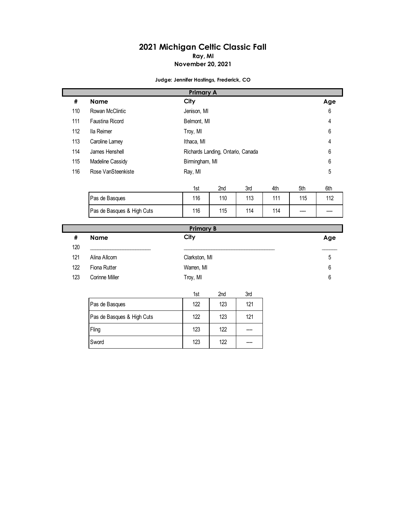## **2021 Michigan Celtic Classic Fall Ray, MI**

## **November 20, 2021**

**Judge: Jennifer Hastings, Frederick, CO**

|             |                            | <b>Primary A</b> |                                   |     |     |     |     |  |  |
|-------------|----------------------------|------------------|-----------------------------------|-----|-----|-----|-----|--|--|
| #           | <b>Name</b>                | City             |                                   |     |     |     | Age |  |  |
| 110         | Rowan McClintic            | Jenison, MI      |                                   |     |     |     | 6   |  |  |
| 111         | <b>Faustina Ricord</b>     |                  | Belmont, MI                       |     |     |     |     |  |  |
| 112         | Ila Reimer                 | Troy, MI         |                                   |     |     |     | 6   |  |  |
| 113         | Caroline Lamey             | Ithaca, MI       |                                   |     |     |     |     |  |  |
| 114         | James Henshell             |                  | Richards Landing, Ontario, Canada |     |     |     | 6   |  |  |
| 115         | Madeline Cassidy           | Birmingham, MI   |                                   |     |     |     | 6   |  |  |
| 116         | Rose VanSteenkiste         | Ray, MI          | 5                                 |     |     |     |     |  |  |
|             |                            |                  |                                   |     |     |     |     |  |  |
|             |                            | 1st              | 2nd                               | 3rd | 4th | 5th | 6th |  |  |
|             | Pas de Basques             | 116              | 110                               | 113 | 111 | 115 | 112 |  |  |
|             | Pas de Basques & High Cuts | 116              | 115                               | 114 | 114 |     |     |  |  |
|             |                            |                  |                                   |     |     |     |     |  |  |
|             |                            | <b>Primary B</b> |                                   |     |     |     |     |  |  |
| $\#$<br>120 | <b>Name</b>                | City             |                                   |     |     |     | Age |  |  |
| 121         | Alina Allcorn              | Clarkston, MI    |                                   |     |     |     |     |  |  |
|             |                            |                  |                                   |     |     |     | 5   |  |  |
| 122         | Fiona Rutter               | Warren, MI       |                                   |     |     |     | 6   |  |  |
| 123         | Corinne Miller             | Troy, MI         |                                   |     |     |     | 6   |  |  |
|             |                            | 1st              | 2nd                               | 3rd |     |     |     |  |  |
|             | Pas de Basques             | 122              | 123                               | 121 |     |     |     |  |  |
|             | Pas de Basques & High Cuts | 122              | 123                               | 121 |     |     |     |  |  |
|             | Fling                      | 123              | 122                               |     |     |     |     |  |  |
|             | Sword                      | 123              | 122                               |     |     |     |     |  |  |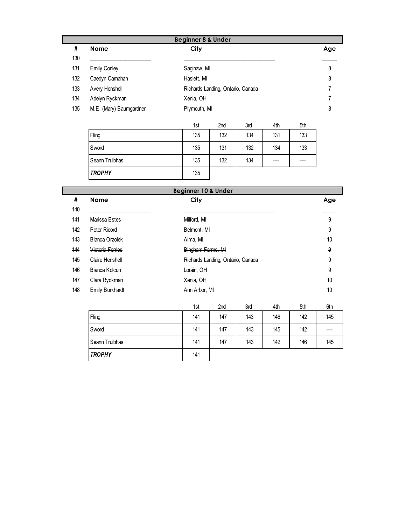|     | <b>Beginner 8 &amp; Under</b> |                                   |     |  |  |  |  |  |
|-----|-------------------------------|-----------------------------------|-----|--|--|--|--|--|
| #   | <b>Name</b>                   | City                              | Age |  |  |  |  |  |
| 130 |                               |                                   |     |  |  |  |  |  |
| 131 | <b>Emily Conley</b>           | Saginaw, MI                       | 8   |  |  |  |  |  |
| 132 | Caedyn Carnahan               | Haslett, MI                       | 8   |  |  |  |  |  |
| 133 | Avery Henshell                | Richards Landing, Ontario, Canada |     |  |  |  |  |  |
| 134 | Adelyn Ryckman                | Xenia, OH                         |     |  |  |  |  |  |
| 135 | M.E. (Mary) Baumgardner       | Plymouth, MI                      | 8   |  |  |  |  |  |

|                | 1st | 2 <sub>nd</sub> | 3rd | 4th  | 5th  |
|----------------|-----|-----------------|-----|------|------|
| Fling          | 135 | 132             | 134 | 131  | 133  |
| Sword          | 135 | 131             | 132 | 134  | 133  |
| Seann Truibhas | 135 | 132             | 134 | ---- | ---- |
| <b>TROPHY</b>  | 135 |                 |     |      |      |

|     | <b>Beginner 10 &amp; Under</b> |                                   |     |  |  |  |  |  |
|-----|--------------------------------|-----------------------------------|-----|--|--|--|--|--|
| #   | <b>Name</b>                    | City                              | Age |  |  |  |  |  |
| 140 |                                |                                   |     |  |  |  |  |  |
| 141 | Marissa Estes                  | Milford, MI                       | 9   |  |  |  |  |  |
| 142 | Peter Ricord                   | Belmont, MI                       | 9   |  |  |  |  |  |
| 143 | Bianca Orzolek                 | Alma, MI                          | 10  |  |  |  |  |  |
| 144 | Victoria Ferries               | Bingham Farms, MI                 | 9   |  |  |  |  |  |
| 145 | Claire Henshell                | Richards Landing, Ontario, Canada | 9   |  |  |  |  |  |
| 146 | Bianca Kolcun                  | Lorain, OH                        | 9   |  |  |  |  |  |
| 147 | Clara Ryckman                  | Xenia, OH                         | 10  |  |  |  |  |  |
| 148 | Emily Burkhardt                | Ann Arbor, MI                     | 40  |  |  |  |  |  |
|     |                                |                                   |     |  |  |  |  |  |

|                | 1st | 2 <sub>nd</sub> | 3rd | 4th | 5th | 6th   |
|----------------|-----|-----------------|-----|-----|-----|-------|
| Fling          | 141 | 147             | 143 | 146 | 142 | 145   |
| Sword          | 141 | 147             | 143 | 145 | 142 | ----- |
| Seann Truibhas | 141 | 147             | 143 | 142 | 146 | 145   |
| <b>TROPHY</b>  | 141 |                 |     |     |     |       |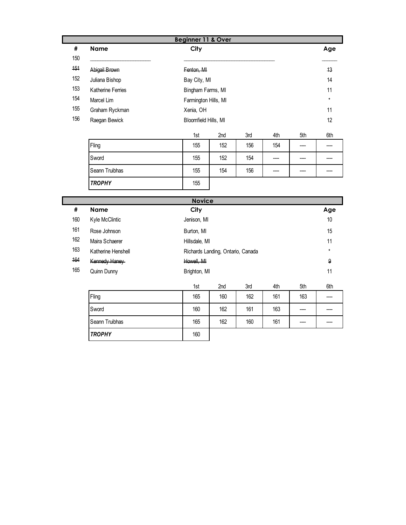|     |                   | Beginner 11 & Over |                      |                      |     |     |      |     |  |
|-----|-------------------|--------------------|----------------------|----------------------|-----|-----|------|-----|--|
| #   | <b>Name</b>       | City               |                      |                      |     |     |      | Age |  |
| 150 |                   |                    |                      |                      |     |     |      |     |  |
| 151 | Abigail Brown     | Fenton, MI         |                      |                      |     |     |      | 13  |  |
| 152 | Juliana Bishop    |                    | Bay City, MI         |                      |     |     |      |     |  |
| 153 | Katherine Ferries |                    |                      | Bingham Farms, MI    |     |     |      | 11  |  |
| 154 | Marcel Lim        |                    | Farmington Hills, MI |                      |     |     |      |     |  |
| 155 | Graham Ryckman    |                    | Xenia, OH            |                      |     |     |      |     |  |
| 156 | Raegan Bewick     |                    |                      | Bloomfield Hills, MI |     |     |      | 12  |  |
|     |                   | 1st                |                      | 2nd                  | 3rd | 4th | 5th  | 6th |  |
|     | Fling             | 155                |                      | 152                  | 156 | 154 | ---- |     |  |
|     | Sword             | 155                |                      | 152                  | 154 |     |      |     |  |
|     | Seann Truibhas    | 155                |                      | 154                  | 156 |     |      |     |  |
|     | <b>TROPHY</b>     | 155                |                      |                      |     |     |      |     |  |

| <b>Novice</b> |                    |               |                                   |     |     |     |     |  |
|---------------|--------------------|---------------|-----------------------------------|-----|-----|-----|-----|--|
| #             | <b>Name</b>        | City          |                                   |     |     |     | Age |  |
| 160           | Kyle McClintic     | Jenison, MI   |                                   | 10  |     |     |     |  |
| 161           | Rose Johnson       | Burton, MI    |                                   | 15  |     |     |     |  |
| 162           | Maira Schaerer     | Hillsdale, MI |                                   | 11  |     |     |     |  |
| 163           | Katherine Henshell |               | Richards Landing, Ontario, Canada |     |     |     |     |  |
| 164           | Kennedy Haney      | Howell, MI    |                                   |     |     |     | 9   |  |
| 165           | Quinn Dunny        | Brighton, MI  |                                   |     |     |     | 11  |  |
|               |                    | 1st           | 2 <sub>nd</sub>                   | 3rd | 4th | 5th | 6th |  |

|                | יטו | <u>Linu</u> | ៴៲៴ | ுபட | vu    | <b>VHI</b> |
|----------------|-----|-------------|-----|-----|-------|------------|
| Fling          | 165 | 160         | 162 | 161 | 163   | ----       |
| Sword          | 160 | 162         | 161 | 163 | $---$ | ----       |
| Seann Truibhas | 165 | 162         | 160 | 161 | $---$ | ----       |
| <b>TROPHY</b>  | 160 |             |     |     |       |            |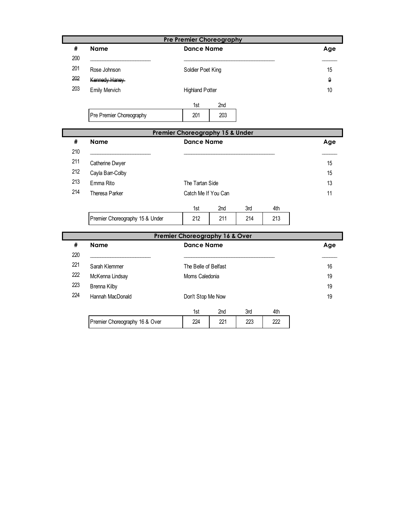|            |                                 | <b>Pre Premier Choreography</b>            |                 |     |     |                  |
|------------|---------------------------------|--------------------------------------------|-----------------|-----|-----|------------------|
| #<br>200   | <b>Name</b>                     | <b>Dance Name</b>                          |                 |     |     | Age              |
| 201        | Rose Johnson                    | Soldier Poet King                          |                 |     |     | 15               |
| 202        | Kennedy Haney                   |                                            |                 |     |     | $\boldsymbol{9}$ |
| 203        | Emily Mervich                   | <b>Highland Potter</b>                     |                 |     |     | 10               |
|            |                                 | 1st                                        | 2 <sub>nd</sub> |     |     |                  |
|            | Pre Premier Choreography        | 201                                        | 203             |     |     |                  |
|            |                                 | <b>Premier Choreography 15 &amp; Under</b> |                 |     |     |                  |
| #          | <b>Name</b>                     | <b>Dance Name</b>                          |                 |     |     | Age              |
| 210        |                                 |                                            |                 |     |     |                  |
| 211        | Catherine Dwyer                 |                                            |                 |     |     | 15               |
| 212        | Cayla Barr-Colby                |                                            | 15              |     |     |                  |
| 213        | Emma Rito                       | The Tartan Side                            |                 |     |     | 13               |
| 214        | <b>Theresa Parker</b>           | Catch Me If You Can                        |                 |     |     | 11               |
|            |                                 | 1st                                        | 2nd             | 3rd | 4th |                  |
|            | Premier Choreography 15 & Under | 212                                        | 211             | 214 | 213 |                  |
|            |                                 | <b>Premier Choreography 16 &amp; Over</b>  |                 |     |     |                  |
| #          | <b>Name</b>                     | <b>Dance Name</b>                          |                 |     |     | Age              |
| 220<br>221 | Sarah Klemmer                   | The Belle of Belfast                       |                 |     |     | 16               |
| 222        | McKenna Lindsay                 | Moms Caledonia                             | 19              |     |     |                  |
| 223        | Brenna Kilby                    |                                            | 19              |     |     |                  |
| 224        | Hannah MacDonald                | Don't Stop Me Now                          | 19              |     |     |                  |
|            |                                 | 1st                                        | 2nd             | 3rd | 4th |                  |
|            | Premier Choreography 16 & Over  | 224                                        | 221             | 223 | 222 |                  |
|            |                                 |                                            |                 |     |     |                  |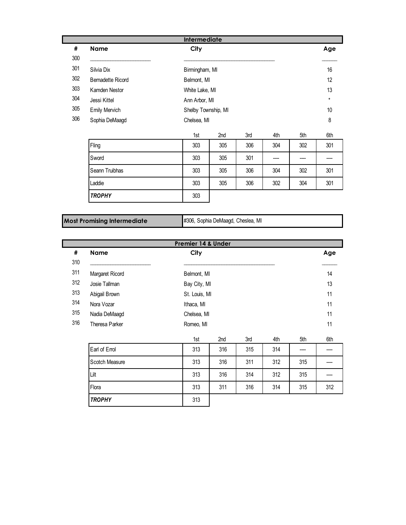|     |                      | <b>Intermediate</b> |                     |     |     |      |     |  |
|-----|----------------------|---------------------|---------------------|-----|-----|------|-----|--|
| #   | Name                 | City                |                     |     |     |      | Age |  |
| 300 |                      |                     |                     |     |     |      |     |  |
| 301 | Silvia Dix           |                     | Birmingham, MI      |     |     |      |     |  |
| 302 | Bernadette Ricord    | Belmont, MI         |                     |     |     |      |     |  |
| 303 | Kamden Nestor        |                     | White Lake, MI      |     |     |      |     |  |
| 304 | Jessi Kittel         |                     | Ann Arbor, MI       |     |     |      |     |  |
| 305 | <b>Emily Mervich</b> |                     | Shelby Township, MI |     |     |      |     |  |
| 306 | Sophia DeMaagd       | Chelsea, MI         |                     |     |     |      |     |  |
|     |                      | 1st                 | 2nd                 | 3rd | 4th | 5th  | 6th |  |
|     | Fling                | 303                 | 305                 | 306 | 304 | 302  | 301 |  |
|     | Sword                | 303                 | 305                 | 301 |     | ---- |     |  |
|     | Seann Truibhas       | 303                 | 305                 | 306 | 304 | 302  | 301 |  |
|     | Laddie               | 303                 | 305                 | 306 | 302 | 304  | 301 |  |
|     | <b>TROPHY</b>        | 303                 |                     |     |     |      |     |  |

**Most Promising Intermediate** #306, Sophia DeMaagd, Cheslea, MI

|     | Premier 14 & Under |               |     |     |     |     |     |  |  |
|-----|--------------------|---------------|-----|-----|-----|-----|-----|--|--|
| #   | <b>Name</b>        | City          |     |     |     |     | Age |  |  |
| 310 |                    |               |     |     |     |     |     |  |  |
| 311 | Margaret Ricord    | Belmont, MI   |     |     |     |     | 14  |  |  |
| 312 | Josie Tallman      | Bay City, MI  |     |     |     |     | 13  |  |  |
| 313 | Abigail Brown      | St. Louis, MI |     |     |     |     | 11  |  |  |
| 314 | Nora Vozar         | Ithaca, MI    |     |     |     |     |     |  |  |
| 315 | Nadia DeMaagd      | Chelsea, MI   |     |     |     |     |     |  |  |
| 316 | Theresa Parker     | Romeo, MI     |     |     |     |     | 11  |  |  |
|     |                    | 1st           | 2nd | 3rd | 4th | 5th | 6th |  |  |
|     | Earl of Errol      | 313           | 316 | 315 | 314 |     |     |  |  |
|     | Scotch Measure     | 313           | 316 | 311 | 312 | 315 |     |  |  |
|     | Lilt               | 313           | 316 | 314 | 312 | 315 |     |  |  |
|     | Flora              | 313           | 311 | 316 | 314 | 315 | 312 |  |  |
|     | <b>TROPHY</b>      | 313           |     |     |     |     |     |  |  |